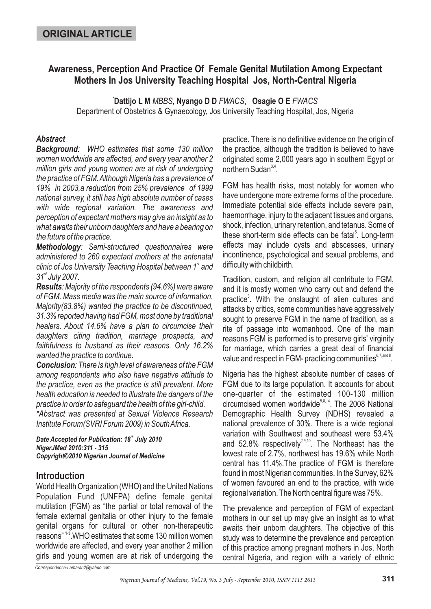# **Awareness, Perception And Practice Of Female Genital Mutilation Among Expectant Mothers In Jos University Teaching Hospital Jos, North-Central Nigeria**

**Dattijo L M MBBS, Nyango D D FWACS, Osagie O E FWACS** 

Department of Obstetrics & Gynaecology, Jos University Teaching Hospital, Jos, Nigeria

### *Abstract*

*Background : WHO estimates that some 130 million women worldwide are affected, and every year another 2 million girls and young women are at risk of undergoing the practice of FGM.Although Nigeria has a prevalence of 19% in 2003,a reduction from 25% prevalence of 1999 national survey, it still has high absolute number of cases with wide regional variation. The awareness and perception of expectant mothers may give an insight as to what awaits their unborn daughters and have a bearing on the future of the practice.*

*Methodology : Semi-structured questionnaires were administered to 260 expectant mothers at the antenatal* clinic of Jos University Teaching Hospital between 1<sup>st</sup> and *31 July 2007. st*

*Results : Majority of the respondents (94.6%) were aware of FGM. Mass media was the main source of information. Majority(83.8%) wanted the practice to be discontinued, 31.3% reported having had FGM, most done by traditional healers. About 14.6% have a plan to circumcise their daughters citing tradition, marriage prospects, and faithfulness to husband as their reasons. Only 16.2% wanted the practice to continue.*

*Conclusion : There is high level of awareness of the FGM among respondents who also have negative attitude to the practice, even as the practice is still prevalent. More health education is needed to illustrate the dangers of the practice in order to safeguard the health of the girl-child. \*Abstract was presented at Sexual Violence Research Institute Forum(SVRI Forum 2009) in SouthAfrica.*

Date Accepted for Publication: 18<sup>th</sup> July 2010 *NigerJMed 2010:311 - 315 Copyright©2010 Nigerian Journal of Medicine*

### **Introduction**

World Health Organization (WHO) and the United Nations Population Fund (UNFPA) define female genital mutilation (FGM) as "the partial or total removal of the female external genitalia or other injury to the female genital organs for cultural or other non-therapeutic reasons" 1-3. WHO estimates that some 130 million women worldwide are affected, and every year another 2 million girls and young women are at risk of undergoing the

practice. There is no definitive evidence on the origin of the practice, although the tradition is believed to have originated some 2,000 years ago in southern Egypt or northern Sudan<sup>3,4</sup>.

FGM has health risks, most notably for women who have undergone more extreme forms of the procedure. Immediate potential side effects include severe pain, haemorrhage, injury to the adjacent tissues and organs, shock, infection, urinary retention, and tetanus. Some of these short-term side effects can be fatal<sup>5</sup>. Long-term effects may include cysts and abscesses, urinary incontinence, psychological and sexual problems, and difficulty with childbirth.

Tradition, custom, and religion all contribute to FGM, and it is mostly women who carry out and defend the practice<sup>3</sup>. With the onslaught of alien cultures and attacks by critics, some communities have aggressively sought to preserve FGM in the name of tradition, as a rite of passage into womanhood. One of the main reasons FGM is performed is to preserve girls' virginity for marriage, which carries a great deal of financial value and respect in FGM- practicing communities $^{6,7, \text{and} 8}.$ 

Nigeria has the highest absolute number of cases of FGM due to its large population. It accounts for about one-quarter of the estimated 100-130 million circumcised women worldwide<sup>5,8,14</sup>. The 2008 National Demographic Health Survey (NDHS) revealed a national prevalence of 30%. There is a wide regional variation with Southwest and southeast were 53.4% and 52.8% respectively<sup>2,9,10</sup>. The Northeast has the lowest rate of 2.7%, northwest has 19.6% while North central has 11.4%.The practice of FGM is therefore found in most Nigerian communities. In the Survey, 62% of women favoured an end to the practice, with wide regional variation. The North central figure was 75%.

The prevalence and perception of FGM of expectant mothers in our set up may give an insight as to what awaits their unborn daughters. The objective of this study was to determine the prevalence and perception of this practice among pregnant mothers in Jos, North central Nigeria, and region with a variety of ethnic

*Correspondence-Lamaran2@yahoo.com*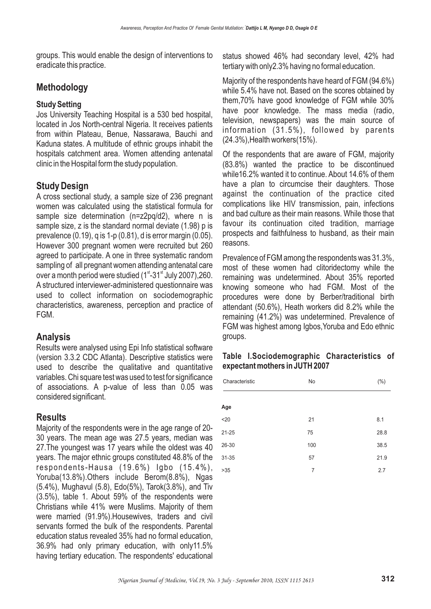groups. This would enable the design of interventions to eradicate this practice.

# **Methodology**

#### **Study Setting**

Jos University Teaching Hospital is a 530 bed hospital, located in Jos North-central Nigeria. It receives patients from within Plateau, Benue, Nassarawa, Bauchi and Kaduna states. A multitude of ethnic groups inhabit the hospitals catchment area. Women attending antenatal clinic in the Hospital form the study population.

# **Study Design**

A cross sectional study, a sample size of 236 pregnant women was calculated using the statistical formula for sample size determination (n=z2pq/d2), where n is sample size, z is the standard normal deviate (1.98) p is prevalence (0.19), q is 1-p (0.81), d is error margin (0.05). However 300 pregnant women were recruited but 260 agreed to participate. A one in three systematic random sampling of all pregnant women attending antenatal care over a month period were studied (1st-31st July 2007), 260. A structured interviewer-administered questionnaire was used to collect information on sociodemographic characteristics, awareness, perception and practice of FGM.

### **Analysis**

Results were analysed using Epi Info statistical software (version 3.3.2 CDC Atlanta). Descriptive statistics were used to describe the qualitative and quantitative variables. Chi square test was used to test for significance of associations. A p-value of less than 0.05 was considered significant.

# **Results**

Majority of the respondents were in the age range of 20- 30 years. The mean age was 27.5 years, median was 27.The youngest was 17 years while the oldest was 40 years. The major ethnic groups constituted 48.8% of the respondents-Hausa (19.6%) Igbo (15.4%), Yoruba(13.8%).Others include Berom(8.8%), Ngas (5.4%), Mughavul (5.8), Edo(5%), Tarok(3.8%), and Tiv (3.5%), table 1. About 59% of the respondents were Christians while 41% were Muslims. Majority of them were married (91.9%).Housewives, traders and civil servants formed the bulk of the respondents. Parental education status revealed 35% had no formal education, 36.9% had only primary education, with only11.5% having tertiary education. The respondents' educational

status showed 46% had secondary level, 42% had tertiary with only2.3% having no formal education.

Majority of the respondents have heard of FGM (94.6%) while 5.4% have not. Based on the scores obtained by them,70% have good knowledge of FGM while 30% have poor knowledge. The mass media (radio, television, newspapers) was the main source of information (31.5%), followed by parents (24.3%),Health workers(15%).

Of the respondents that are aware of FGM, majority (83.8%) wanted the practice to be discontinued while16.2% wanted it to continue. About 14.6% of them have a plan to circumcise their daughters. Those against the continuation of the practice cited complications like HIV transmission, pain, infections and bad culture as their main reasons. While those that favour its continuation cited tradition, marriage prospects and faithfulness to husband, as their main reasons.

Prevalence of FGM among the respondents was 31.3%, most of these women had clitoridectomy while the remaining was undetermined. About 35% reported knowing someone who had FGM. Most of the procedures were done by Berber/traditional birth attendant (50.6%), Heath workers did 8.2% while the remaining (41.2%) was undetermined. Prevalence of FGM was highest among Igbos,Yoruba and Edo ethnic groups.

#### **Table I.Sociodemographic Characteristics of expectant mothers in JUTH 2007**

| Characteristic | No  | $(\% )$ |
|----------------|-----|---------|
|                |     |         |
| Age            |     |         |
| $20$           | 21  | 8.1     |
| $21 - 25$      | 75  | 28.8    |
| 26-30          | 100 | 38.5    |
| 31-35          | 57  | 21.9    |
| >35            | 7   | 2.7     |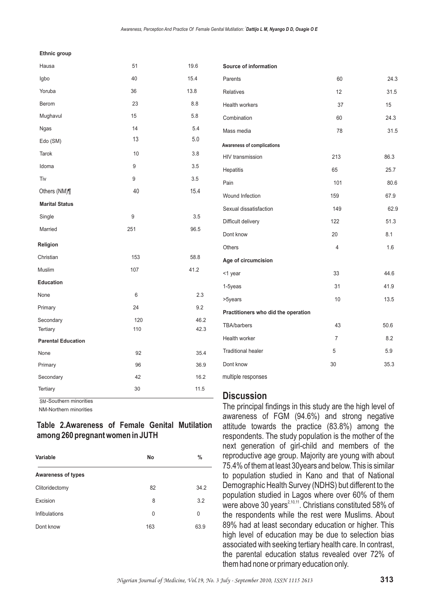#### **Ethnic group**

| Hausa                     | 51  | 19.6 |
|---------------------------|-----|------|
| Igbo                      | 40  | 15.4 |
| Yoruba                    | 36  | 13.8 |
| Berom                     | 23  | 8.8  |
| Mughavul                  | 15  | 5.8  |
| Ngas                      | 14  | 5.4  |
| Edo (SM)                  | 13  | 5.0  |
| <b>Tarok</b>              | 10  | 3.8  |
| Idoma                     | 9   | 3.5  |
| Tiv                       | 9   | 3.5  |
| Others (NM)¶              | 40  | 15.4 |
| <b>Marital Status</b>     |     |      |
| Single                    | 9   | 3.5  |
| Married                   | 251 | 96.5 |
| Religion                  |     |      |
| Christian                 | 153 | 58.8 |
| Muslim                    | 107 | 41.2 |
| Education                 |     |      |
| None                      | 6   | 2.3  |
| Primary                   | 24  | 9.2  |
| Secondary                 | 120 | 46.2 |
| Tertiary                  | 110 | 42.3 |
| <b>Parental Education</b> |     |      |
| None                      | 92  | 35.4 |
| Primary                   | 96  | 36.9 |
| Secondary                 | 42  | 16.2 |
| Tertiary                  | 30  | 11.5 |

SM-Southern minorities

NM-Northern minorities

#### **Table 2.Awareness of Female Genital Mutilation among 260 pregnant women in JUTH**

| Variable                  | No  | %    |
|---------------------------|-----|------|
| <b>Awareness of types</b> |     |      |
| Clitoridectomy            | 82  | 34.2 |
| Excision                  | 8   | 3.2  |
| Infibulations             | 0   | 0    |
| Dont know                 | 163 | 63.9 |

| Source of information               |                |      |
|-------------------------------------|----------------|------|
| Parents                             | 60             | 24.3 |
| <b>Relatives</b>                    | 12             | 31.5 |
| <b>Health workers</b>               | 37             | 15   |
| Combination                         | 60             | 24.3 |
| Mass media                          | 78             | 31.5 |
| Awareness of complications          |                |      |
| HIV transmission                    | 213            | 86.3 |
| Hepatitis                           | 65             | 25.7 |
| Pain                                | 101            | 80.6 |
| Wound Infection                     | 159            | 67.9 |
| Sexual dissatisfaction              | 149            | 62.9 |
| Difficult delivery                  | 122            | 51.3 |
| Dont know                           | 20             | 8.1  |
| <b>Others</b>                       | 4              | 1.6  |
| Age of circumcision                 |                |      |
| <1 year                             | 33             | 44.6 |
| 1-5yeas                             | 31             | 41.9 |
| >5years                             | 10             | 13.5 |
| Practitioners who did the operation |                |      |
| <b>TBA/barbers</b>                  | 43             | 50.6 |
| Health worker                       | $\overline{7}$ | 8.2  |
| <b>Traditional healer</b>           | 5              | 5.9  |
| Dont know                           | 30             | 35.3 |

multiple responses

#### **Discussion**

The principal findings in this study are the high level of awareness of FGM (94.6%) and strong negative attitude towards the practice (83.8%) among the respondents. The study population is the mother of the next generation of girl-child and members of the reproductive age group. Majority are young with about 75.4% of them at least 30years and below. This is similar to population studied in Kano and that of National Demographic Health Survey (NDHS) but different to the population studied in Lagos where over 60% of them were above 30 years $^{2,10,11}$ . Christians constituted 58% of the respondents while the rest were Muslims. About 89% had at least secondary education or higher. This high level of education may be due to selection bias associated with seeking tertiary health care. In contrast, the parental education status revealed over 72% of them had none or primary education only.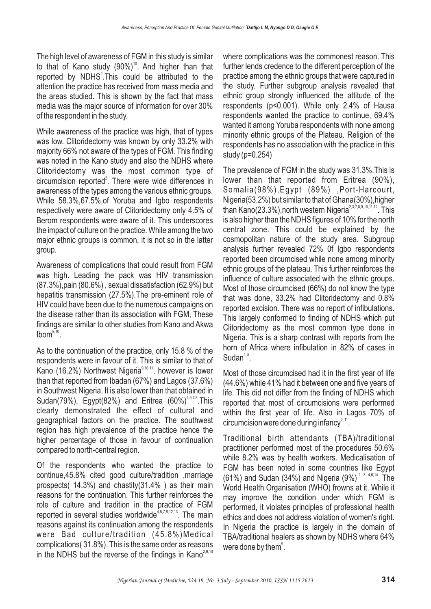The high level of awareness of FGM in this study is similar to that of Kano study  $(90\%)$ <sup>10</sup>. And higher than that reported by  $NDHS^2$ . This could be attributed to the attention the practice has received from mass media and the areas studied. This is shown by the fact that mass media was the major source of information for over 30% of the respondent in the study.

While awareness of the practice was high, that of types was low. Clitoridectomy was known by only 33.2% with majority 66% not aware of the types of FGM. This finding was noted in the Kano study and also the NDHS where Clitoridectomy was the most common type of circumcision reported<sup>2</sup>. There were wide differences in awareness of the types among the various ethnic groups. While 58.3%,67.5%,of Yoruba and Igbo respondents respectively were aware of Clitoridectomy only 4.5% of Berom respondents were aware of it. This underscores the impact of culture on the practice. While among the two major ethnic groups is common, it is not so in the latter group.

Awareness of complications that could result from FGM was high. Leading the pack was HIV transmission (87.3%),pain (80.6%) , sexual dissatisfaction (62.9%) but hepatitis transmission (27.5%).The pre-eminent role of HIV could have been due to the numerous campaigns on the disease rather than its association with FGM, These findings are similar to other studies from Kano and Akwa  $l \text{bom}^{\frac{9}{10}}$ .

As to the continuation of the practice, only 15.8 % of the respondents were in favour of it. This is similar to that of Kano (16.2%) Northwest Nigeria<sup>9,10,11</sup>, however is lower than that reported from Ibadan (67%) and Lagos (37.6%) in Southwest Nigeria. It is also lower than that obtained in Sudan(79%), Egypt(82%) and Eritrea (60%)<sup>4,5,7,8</sup>. This clearly demonstrated the effect of cultural and geographical factors on the practice. The southwest region has high prevalence of the practice hence the higher percentage of those in favour of continuation compared to north-central region.

Of the respondents who wanted the practice to continue,45.8% cited good culture/tradition ,marriage prospects( 14.3%) and chastity(31.4% ) as their main reasons for the continuation. This further reinforces the role of culture and tradition in the practice of FGM reported in several studies worldwide<sup>4,5,7,8,12,13</sup>. The main reasons against its continuation among the respondents were Bad culture/tradition (45.8%)Medical complications( 31.8%). This is the same order as reasons in the NDHS but the reverse of the findings in Kano $^{2,9,10}$ 

where complications was the commonest reason. This further lends credence to the different perception of the practice among the ethnic groups that were captured in the study. Further subgroup analysis revealed that ethnic group strongly influenced the attitude of the respondents (p<0.001). While only 2.4% of Hausa respondents wanted the practice to continue, 69.4% wanted it among Yoruba respondents with none among minority ethnic groups of the Plateau. Religion of the respondents has no association with the practice in this study (p=0.254)

The prevalence of FGM in the study was 31.3%.This is lower than that reported from Eritrea (90%), Somalia(98%),Egypt (89%) ,Port-Harcourt, Nigeria(53.2%) but similar to that of Ghana(30%),higher than Kano(23.3%),north western Nigeria $^{2,3,7,8,9,10,11,12}.$  This is also higher than the NDHS figures of 10% for the north central zone. This could be explained by the cosmopolitan nature of the study area. Subgroup analysis further revealed 72% 0f Igbo respondents reported been circumcised while none among minority ethnic groups of the plateau. This further reinforces the influence of culture associated with the ethnic groups. Most of those circumcised (66%) do not know the type that was done, 33.2% had Clitoridectomy and 0.8% reported excision. There was no report of infibulations. This largely conformed to finding of NDHS which put Clitoridectomy as the most common type done in Nigeria. This is a sharp contrast with reports from the horn of Africa where infibulation in 82% of cases in Sudan $4,5$ .

Most of those circumcised had it in the first year of life (44.6%) while 41% had it between one and five years of life. This did not differ from the finding of NDHS which reported that most of circumcisions were performed within the first year of life. Also in Lagos 70% of circumcision were done during infancy $2,11$ .

Traditional birth attendants (TBA)/traditional practitioner performed most of the procedures 50.6% while 8.2% was by health workers. Medicalisation of FGM has been noted in some countries like Egypt (61%) and Sudan (34%) and Nigeria (9%)<sup>1, 3, 4,6,14</sup>. The World Health Organisation (WHO) frowns at it. While it may improve the condition under which FGM is performed, it violates principles of professional health ethics and does not address violation of women's right. In Nigeria the practice is largely in the domain of TBA/traditional healers as shown by NDHS where 64% were done by them $^\circ$ .